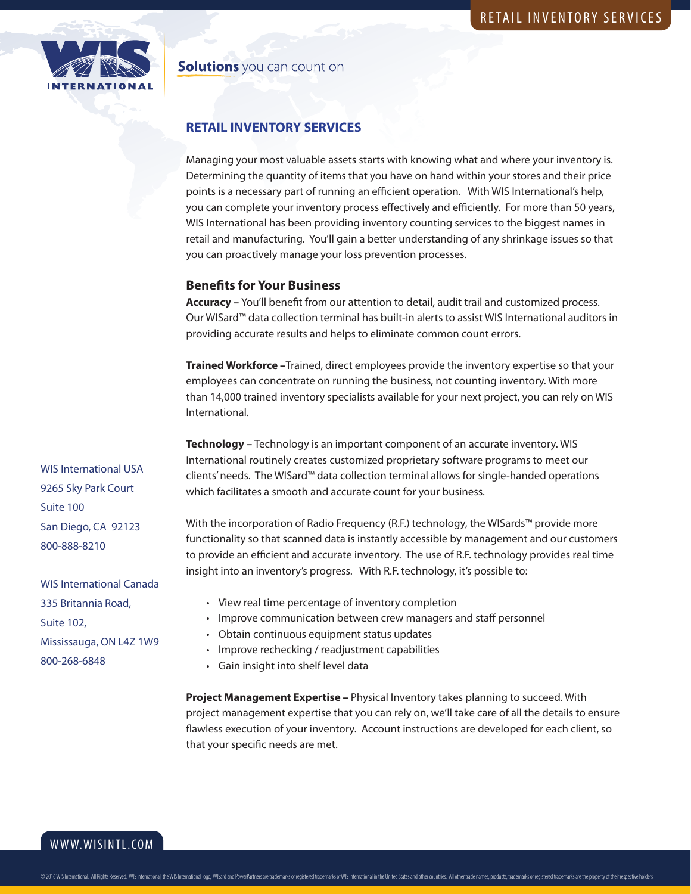

### **Solutions** you can count on

## **RETAIL INVENTORY SERVICES**

Managing your most valuable assets starts with knowing what and where your inventory is. Determining the quantity of items that you have on hand within your stores and their price points is a necessary part of running an efficient operation. With WIS International's help, you can complete your inventory process effectively and efficiently. For more than 50 years, WIS International has been providing inventory counting services to the biggest names in retail and manufacturing. You'll gain a better understanding of any shrinkage issues so that you can proactively manage your loss prevention processes.

### **Benefits for Your Business**

**Accuracy –** You'll benefit from our attention to detail, audit trail and customized process. Our WISard™ data collection terminal has built-in alerts to assist WIS International auditors in providing accurate results and helps to eliminate common count errors.

**Trained Workforce –**Trained, direct employees provide the inventory expertise so that your employees can concentrate on running the business, not counting inventory. With more than 14,000 trained inventory specialists available for your next project, you can rely on WIS International.

**Technology –** Technology is an important component of an accurate inventory. WIS International routinely creates customized proprietary software programs to meet our clients' needs. The WISard™ data collection terminal allows for single-handed operations which facilitates a smooth and accurate count for your business.

With the incorporation of Radio Frequency (R.F.) technology, the WISards™ provide more functionality so that scanned data is instantly accessible by management and our customers to provide an efficient and accurate inventory. The use of R.F. technology provides real time insight into an inventory's progress. With R.F. technology, it's possible to:

- View real time percentage of inventory completion
- Improve communication between crew managers and staff personnel
- Obtain continuous equipment status updates
- Improve rechecking / readjustment capabilities
- Gain insight into shelf level data

**Project Management Expertise –** Physical Inventory takes planning to succeed. With project management expertise that you can rely on, we'll take care of all the details to ensure flawless execution of your inventory. Account instructions are developed for each client, so that your specific needs are met.

WIS International USA 9265 Sky Park Court Suite 100 San Diego, CA 92123 800-888-8210

WIS International Canada 335 Britannia Road, Suite 102, Mississauga, ON L4Z 1W9 800-268-6848

WWW.WISINTL.COM